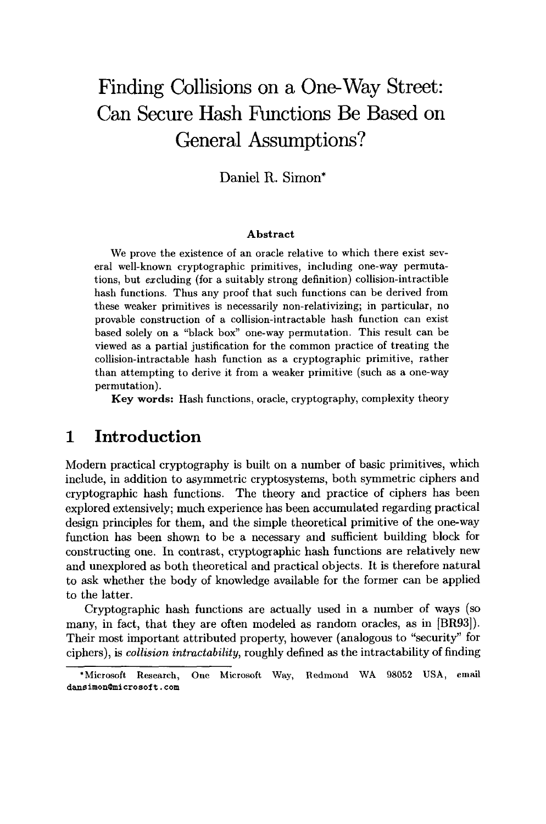# **Finding Collisions on a One-Way Street: Can Secure Hash Fhnctions Be Based on General Assumptions?**

**Daniel R. Simon\*** 

#### **Abstract**

We prove the existence of an oracle relative to which there exist several well-known cryptographic primitives, including one-way permutations, but excluding (for a suitably strong definition) collision-intractible hash functions. Thus any proof that such functions can be derived from these weaker primitives is necessarily non-relativizing; in particular, no provable construction of a collision-intractable hash function can exist based solely on a "black box" one-way permutation. This result can be viewed as a partial justification for the common practice of treating the collision-intractable hash function as a cryptographic primitive, rather than attempting to derive it from a weaker primitive (such as a one-way permutation).

**Key words:** Hash functions, oracle, cryptography, complexity theory

#### **1 Introduction**

Modern practical cryptography is built on a number of basic primitives, which include, in addition to asymmetric cryptosystems, both symmetric ciphers and cryptographic hash functions. The theory and practice of ciphers has been explored extensively; much experience has been accumulated regarding practical design principles for them, and the simple theoretical primitive of the one-way function has been shown to be a necessary and sufficient building block for constructing one. In contrast, cryptographic hash functions are relatively new and unexplored as both theoretical and practical objects. It is therefore natural to ask whether the body of knowledge available for the former can be applied to the latter.

Cryptographic hash functions are actually used in a number of ways (so many, in fact, that they are often modeled as random oracles, as in [BR93]). Their most important attributed property, however (analogous to "security" for ciphers), is *collision intractability,* roughly defined as the intractability of finding

<sup>\*</sup>Microsoft Research, One Microsoft Way, Redmond WA 98052 USA, email dansimon~microsoft, **com**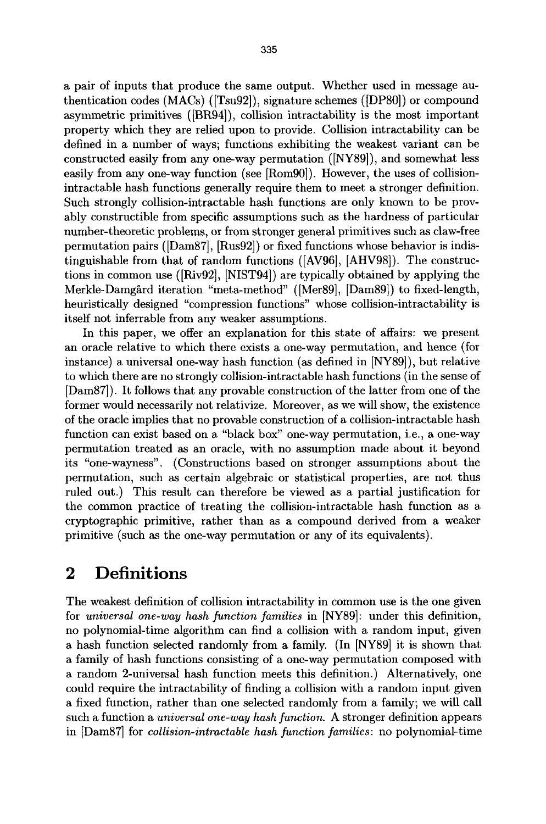a pair of inputs that produce the same output. Whether used in message authentication codes  $(MACs)$  ([Tsu92]), signature schemes ([DP80]) or compound asymmetric primitives (IBR94]), collision intractability is the most important property which they are relied upon to provide. Collision intractability can be defined in a number of ways; functions exhibiting the weakest variant can be constructed easily from any one-way permutation ([NY89]), and somewhat less easily from any one-way function (see [Rom90]). However, the uses of collisionintractable hash functions generally require them to meet a stronger definition. Such strongly collision-intractable hash functions are only known to be provably constructible from specific assumptions such as the hardness of particular number-theoretic problems, or from stronger general primitives such as claw-free permutation pairs ([DamS7], [Rus92]) or fixed functions whose behavior is indistinguishable from that of random functions ([AV96], [AHV98]). The constructions in common use ([Riv92], [NIST94]) are typically obtained by applying the Merkle-Damgård iteration "meta-method" ([Mer89], [Dam89]) to fixed-length, heuristically designed "compression functions" whose collision-intractability is itself not inferrable from any weaker assumptions.

In this paper, we offer an explanation for this state of affairs: we present an oracle relative to which there exists a one-way permutation, and hence (for instance) a universal one-way hash function (as defined in [NY89]), but relative to which there are no strongly collision-intractable hash functions (in the sense of [Dam87]). It follows that any provable construction of the latter from one of the former would necessarily not relativize. Moreover, as we will show, the existence of the oracle implies that no provable construction of a collision-intractable hash function can exist based on a "black box" one-way permutation, i.e., a one-way permutation treated as an oracle, with no assumption made about it beyond its "one-wayness". (Constructions based on stronger assumptions about the permutation, such as certain algebraic or statistical properties, are not thus ruled out.) This result can therefore be viewed as a partial justification for the common practice of treating the collision-intractable hash function as a cryptographic primitive, rather than as a compound derived from a weaker primitive (such as the one-way permutation or any of its equivalents).

#### **2 Definitions**

The weakest definition of collision intractability in common use is the one given for *universal one-way hash function families* in [NY89]: under this definition, no polynomial-time algorithm can find a collision with a random input, given a hash function selected randomly from a family. (In [NY89] it is shown that a family of hash functions consisting of a one-way permutation composed with a random 2-universal hash function meets this definition.) Alternatively, one could require the intractability of finding a collision with a random input given a fixed function, rather than one selected randomly from a family; we will call such a function a *universal one-way hash function.* A stronger definition appears in [Dam87] for *collision-intractable hash function families:* no polynomial-time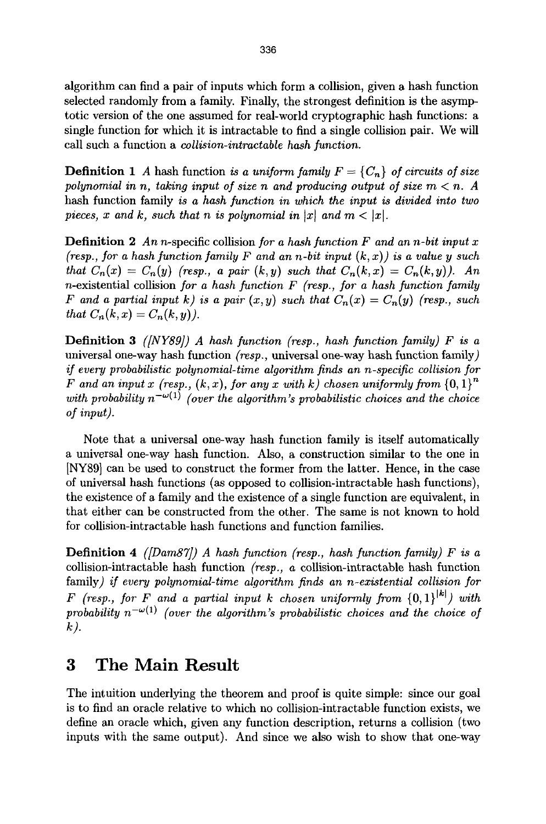algorithm can find a pair of inputs which form a collision, given a hash function selected randomly from a family. Finally, the strongest definition is the asymptotic version of the one assumed for real-world cryptographic hash functions: a single function for which it is intractable to find a single collision pair. We will call such a function a *collision-intractable hash function.* 

**Definition 1** A hash function *is a uniform family*  $F = \{C_n\}$  *of circuits of size* polynomial in n, taking input of size n and producing output of size  $m < n$ . A hash function family *is a hash function in which the input is divided into two pieces, x and k, such that n is polynomial in*  $|x|$  *and m* <  $|x|$ *.* 

Definition 2 *An* n-specific collision *for a hash function F and an n-bit input x (resp., for a hash function family F and an n-bit input*  $(k, x)$ *) is a value y such that*  $C_n(x) = C_n(y)$  (resp., a pair  $(k, y)$  such that  $C_n(k, x) = C_n(k, y)$ ). An n-existential collision *for a hash function F (resp., for a hash function family F* and a partial input k) is a pair  $(x, y)$  such that  $C_n(x) = C_n(y)$  (resp., such *that*  $C_n(k, x) = C_n(k, y)$ .

Definition 3 *([NY89]) A hash function (resp., hash function family) F is a*  universal one-way hash function *(resp.,* universal one-way hash function family) *if every probabilistic polynomial-time algorithm finds an n-specific collision for F* and an input x (resp.,  $(k, x)$ , for any x with k) chosen uniformly from  ${0, 1}^n$ *with probability*  $n^{-\omega(1)}$  *(over the algorithm's probabilistic choices and the choice of input).* 

Note that a universal one-way hash function family is itself automatically a universal one-way hash function. Also, a construction similar to the one in [NY89] can be used to construct the former from the latter. Hence, in the case of universal hash functions (as opposed to collision-intractable hash functions), the existence of a family and the existence of a single function are equivalent, in that either can be constructed from the other. The same is not known to hold for collision-intractable hash functions and function families.

Definition *4 ([Dam87]) A hash function (resp., hash function family) F is a*  collision-intractable hash function *(resp., a* collision-intractable hash function family) *if every polynomial-time algorithm finds an n-existential collision for F* (resp., for *F* and a partial input *k* chosen uniformly from  $\{0,1\}^{|k|}$  with probability  $n^{-\omega(1)}$  *(over the algorithm's probabilistic choices and the choice of k).* 

#### **3 The Main Result**

The intuition underlying the theorem and proof is quite simple: since our goal is to find an oracle relative to which no collision-intractable function exists, we define an oracle which, given any function description, returns a collision (two inputs with the same output). And since we also wish to show that one-way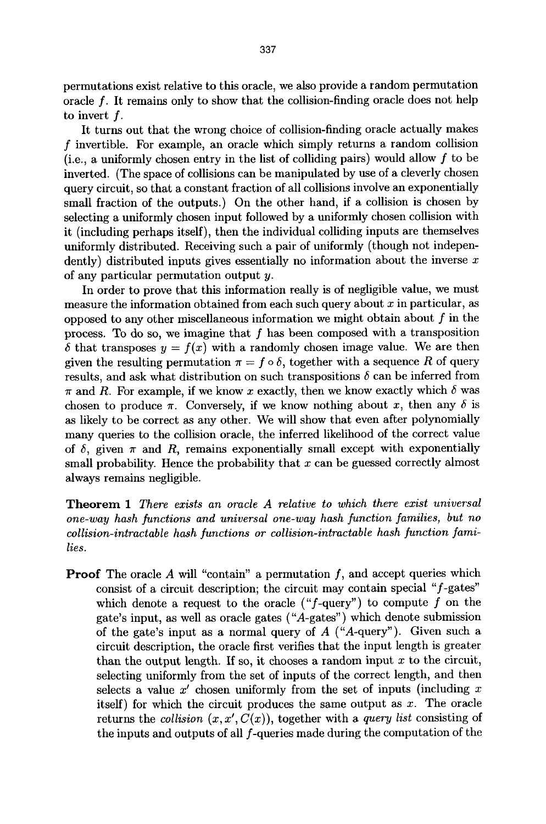permutations exist relative to this oracle, we also provide a random permutation oracle f. It remains only to show that the collision-finding oracle does not help to invert f.

It turns out that the wrong choice of collision-finding oracle actually makes f invertible. For example, an oracle which simply returns a random collision (i.e., a uniformly chosen entry in the list of colliding pairs) would allow  $f$  to be inverted. (The space of collisions can be manipulated by use of a cleverly chosen query circuit, so that a constant fraction of all collisions involve an exponentially small fraction of the outputs.) On the other hand, if a collision is chosen by selecting a uniformly chosen input followed by a uniformly chosen collision with it (including perhaps itself), then the individual colliding inputs are themselves uniformly distributed. Receiving such a pair of uniformly (though not independently) distributed inputs gives essentially no information about the inverse  $x$ of any particular permutation output y.

In order to prove that this information really is of negligible value, we must measure the information obtained from each such query about  $x$  in particular, as opposed to any other miscellaneous information we might obtain about  $f$  in the process. To do so, we imagine that  $f$  has been composed with a transposition  $\delta$  that transposes  $y = f(x)$  with a randomly chosen image value. We are then given the resulting permutation  $\pi = f \circ \delta$ , together with a sequence R of query results, and ask what distribution on such transpositions  $\delta$  can be inferred from  $\pi$  and R. For example, if we know x exactly, then we know exactly which  $\delta$  was chosen to produce  $\pi$ . Conversely, if we know nothing about x, then any  $\delta$  is as likely to be correct as any other. We will show that even after polynomially many queries to the collision oracle, the inferred likelihood of the correct value of  $\delta$ , given  $\pi$  and R, remains exponentially small except with exponentially small probability. Hence the probability that  $x$  can be guessed correctly almost always remains negligible.

Theorem 1 *There exists an oracle A relative to which there exist universal one-way hash functions and universal one-way hash ]unction families, but no*  collision-intractable hash functions or collision-intractable hash function fami*lies.* 

**Proof** The oracle  $A$  will "contain" a permutation  $f$ , and accept queries which consist of a circuit description; the circuit may contain special "f-gates" which denote a request to the oracle (" $f$ -query") to compute  $f$  on the gate's input, as well as oracle gates ("A-gates") which denote submission of the gate's input as a normal query of  $A$  ("A-query"). Given such a circuit description, the oracle first verifies that the input length is greater than the output length. If so, it chooses a random input  $x$  to the circuit, selecting uniformly from the set of inputs of the correct length, and then selects a value  $x'$  chosen uniformly from the set of inputs (including  $x$ itself) for which the circuit produces the same output as  $x$ . The oracle returns the *collision*  $(x, x', C(x))$ , together with a *query list* consisting of the inputs and outputs of all f-queries made during the computation of the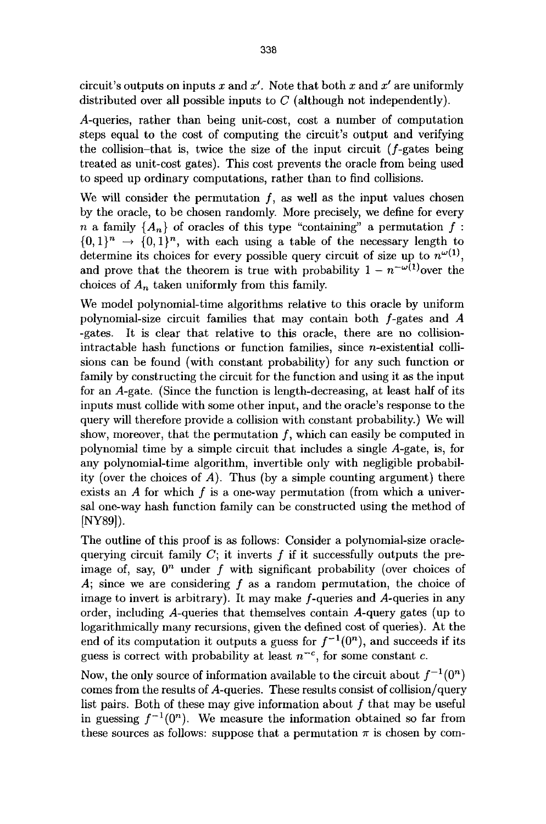circuit's outputs on inputs x and  $x'$ . Note that both x and  $x'$  are uniformly distributed over all possible inputs to  $C$  (although not independently).

A-queries, rather than being unit-cost, cost a number of computation steps equal to the cost of computing the circuit's output and verifying the collision-that is, twice the size of the input circuit  $(f\text{-gates being})$ treated as unit-cost gates). This cost prevents the oracle from being used to speed up ordinary computations, rather than to find collisions.

We will consider the permutation  $f$ , as well as the input values chosen by the oracle, to be chosen randomly. More precisely, we define for every n a family  $\{A_n\}$  of oracles of this type "containing" a permutation f:  $\{0,1\}^n \rightarrow \{0,1\}^n$ , with each using a table of the necessary length to determine its choices for every possible query circuit of size up to  $n^{\omega(1)}$ , and prove that the theorem is true with probability  $1 - n^{-\omega(1)}$ over the choices of  $A_n$  taken uniformly from this family.

We model polynomial-time algorithms relative to this oracle by uniform polynomial-size circuit families that may contain both f-gates and A -gates. It is clear that relative to this oracle, there are no collisionintractable hash functions or function families, since n-existential collisions can be found (with constant probability) for any such function or family by constructing the circuit for the function and using it as the input for an A-gate. (Since the function is length-decreasing, at least half of its inputs must collide with some other input, and the oracle's response to the query will therefore provide a collision with constant probability.) We will show, moreover, that the permutation  $f$ , which can easily be computed in polynomial time by a simple circuit that includes a single A-gate, is, for any polynomial-time algorithm, invertible only with negligible probability (over the choices of A). Thus (by a simple counting argument) there exists an  $A$  for which  $f$  is a one-way permutation (from which a universal one-way hash function family can be constructed using the method of [NY89]).

The outline of this proof is as follows: Consider a polynomial-size oraclequerying circuit family  $C$ ; it inverts  $f$  if it successfully outputs the preimage of, say,  $0^n$  under f with significant probability (over choices of A; since we are considering  $f$  as a random permutation, the choice of image to invert is arbitrary). It may make  $f$ -queries and  $A$ -queries in any order, including A-queries that themselves contain A-query gates (up to logarithmically many recursions, given the defined cost of queries). At the end of its computation it outputs a guess for  $f^{-1}(0^n)$ , and succeeds if its guess is correct with probability at least  $n^{-c}$ , for some constant c.

Now, the only source of information available to the circuit about  $f^{-1}(0^n)$ comes from the results of A-queries. These results consist of collision/query list pairs. Both of these may give information about  $f$  that may be useful in guessing  $f^{-1}(0^n)$ . We measure the information obtained so far from these sources as follows: suppose that a permutation  $\pi$  is chosen by com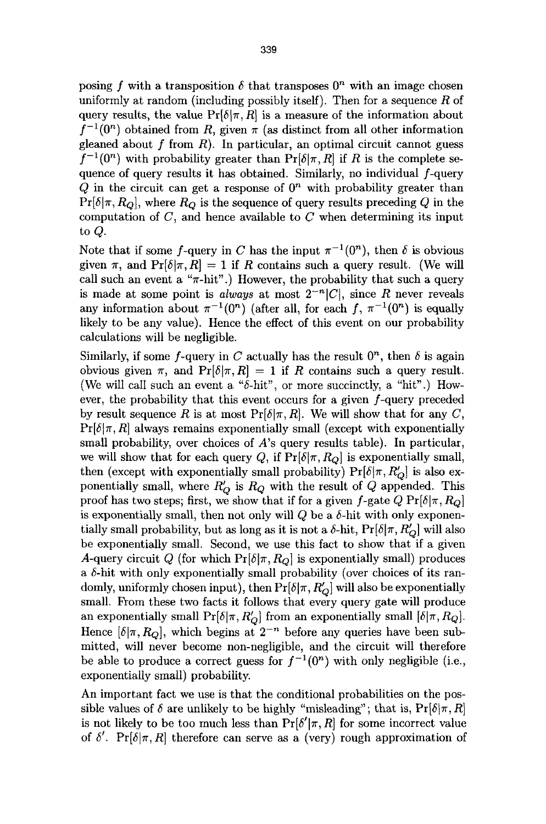posing f with a transposition  $\delta$  that transposes  $0<sup>n</sup>$  with an image chosen uniformly at random (including possibly itself). Then for a sequence  $R$  of query results, the value  $Pr[\delta|\pi, R]$  is a measure of the information about  $f^{-1}(0^n)$  obtained from R, given  $\pi$  (as distinct from all other information gleaned about  $f$  from  $R$ ). In particular, an optimal circuit cannot guess  $f^{-1}(0^n)$  with probability greater than  $Pr[\delta | \pi, R]$  if R is the complete sequence of query results it has obtained. Similarly, no individual f-query Q in the circuit can get a response of  $0<sup>n</sup>$  with probability greater than  $Pr[\delta|\pi, R_Q]$ , where  $R_Q$  is the sequence of query results preceding Q in the computation of  $C$ , and hence available to  $C$  when determining its input to Q.

Note that if some f-query in C has the input  $\pi^{-1}(0^n)$ , then  $\delta$  is obvious given  $\pi$ , and  $Pr[\delta|\pi, R] = 1$  if R contains such a query result. (We will call such an event a " $\pi$ -hit".) However, the probability that such a query is made at some point is *always* at most  $2^{-n}|C|$ , since R never reveals any information about  $\pi^{-1}(0^n)$  (after all, for each f,  $\pi^{-1}(0^n)$ ) is equally likely to be any value). Hence the effect of this event on our probability calculations will be negligible.

Similarly, if some f-query in C actually has the result  $0<sup>n</sup>$ , then  $\delta$  is again obvious given  $\pi$ , and  $Pr[\delta|\pi, R] = 1$  if R contains such a query result. (We will call such an event a " $\delta$ -hit", or more succinctly, a "hit".) However, the probability that this event occurs for a given f-query preceded by result sequence R is at most  $Pr[\delta | \pi, R]$ . We will show that for any C,  $Pr[\delta|\pi, R]$  always remains exponentially small (except with exponentially small probability, over choices of A's query results table). In particular, we will show that for each query Q, if  $Pr[\delta|\pi, R_Q]$  is exponentially small, then (except with exponentially small probability)  $Pr[\delta|\pi, R'_{\Omega}]$  is also exponentially small, where  $R'_{O}$  is  $R_{Q}$  with the result of  $Q$  appended. This proof has two steps; first, we show that if for a given f-gate  $Q \Pr[\delta | \pi, R_Q]$ is exponentially small, then not only will  $Q$  be a  $\delta$ -hit with only exponentially small probability, but as long as it is not a  $\delta$ -hit, Pr[ $\delta | \pi, R'_Q$ ] will also be exponentially small. Second, we use this fact to show that if a given A-query circuit Q (for which  $Pr[\delta | \pi, R_Q]$  is exponentially small) produces a  $\delta$ -hit with only exponentially small probability (over choices of its randomly, uniformly chosen input), then  $Pr[\delta|\pi, R'_{\Omega}]$  will also be exponentially small. From these two facts it follows that every query gate will produce an exponentially small  $Pr[\delta | \pi, R'_Q]$  from an exponentially small  $[\delta | \pi, R_Q]$ . Hence  $[\delta | \pi, R_Q]$ , which begins at  $2^{-n}$  before any queries have been submitted, will never become non-negligible, and the circuit will therefore be able to produce a correct guess for  $f^{-1}(0^n)$  with only negligible (i.e., exponentially small) probability.

An important fact we use is that the conditional probabilities on the possible values of  $\delta$  are unlikely to be highly "misleading"; that is,  $Pr[\delta | \pi, R]$ is not likely to be too much less than  $Pr[\delta'|\pi, R]$  for some incorrect value of  $\delta'$ . Pr $[\delta | \pi, R]$  therefore can serve as a (very) rough approximation of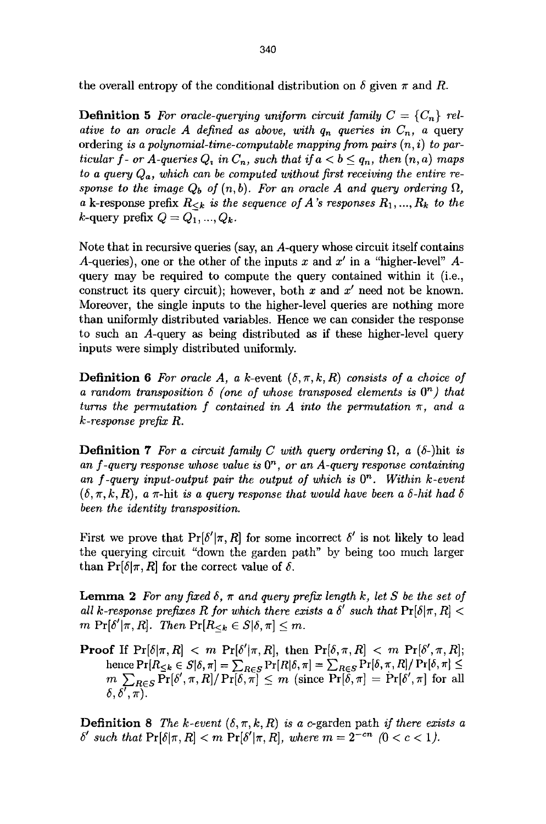the overall entropy of the conditional distribution on  $\delta$  given  $\pi$  and R.

**Definition 5** For oracle-querying uniform circuit family  $C = \{C_n\}$  rel*ative to an oracle A defined as above, with*  $q_n$  *queries in*  $C_n$ *, a query* ordering *is a polynomial-time-computable mapping from pairs (n, i) to particular f- or A-queries*  $Q_i$  *in*  $C_n$ *, such that if*  $a < b \leq q_n$ *, then*  $(n, a)$  *maps to a query Qa, which can be computed without first receiving the entire response to the image*  $Q_b$  *of*  $(n, b)$ *. For an oracle A and query ordering*  $\Omega$ , a k-response prefix  $R_{\leq k}$  is the sequence of A's responses  $R_1, ..., R_k$  to the  $k$ -query prefix  $Q = Q_1, ..., Q_k$ .

Note that in recursive queries (say, an A-query whose circuit itself contains A-queries), one or the other of the inputs x and  $x'$  in a "higher-level" Aquery may be required to compute the query contained within it (i.e., construct its query circuit); however, both x and  $x'$  need not be known. Moreover, the single inputs to the higher-level queries are nothing more than uniformly distributed variables. Hence we can consider the response to such an A-query as being distributed as if these higher-level query inputs were simply distributed uniformly.

**Definition 6** For oracle A, a k-event  $(\delta, \pi, k, R)$  consists of a choice of *a random transposition*  $\delta$  *(one of whose transposed elements is*  $0^n$ ) that *turns the permutation f contained in A into the permutation*  $\pi$ , and a *k-response prefix R.* 

**Definition 7** For a circuit family C with query ordering  $\Omega$ , a ( $\delta$ -)hit is an f-query response whose value is  $0<sup>n</sup>$ , or an A-query response containing an f-query input-output pair the output of which is  $0^n$ . Within k-event  $(\delta, \pi, k, R)$ , a  $\pi$ -hit *is a query response that would have been a*  $\delta$ *-hit had*  $\delta$ *been the identity transposition.* 

First we prove that  $Pr[\delta'|\pi, R]$  for some incorrect  $\delta'$  is not likely to lead the querying circuit "down the garden path" by being too much larger than  $Pr[\delta|\pi, R]$  for the correct value of  $\delta$ .

**Lemma 2** For any fixed  $\delta$ ,  $\pi$  and query prefix length k, let S be the set of *all k-response prefixes R for which there exists a*  $\delta'$  *such that*  $Pr[\delta | \pi, R]$  < *m*  $\Pr[\delta'|\pi, R]$ . *Then*  $\Pr[R_{\leq k} \in S | \delta, \pi] \leq m$ .

**Proof** If  $Pr[\delta|\pi, R] < m Pr[\delta'|\pi, R]$ , then  $Pr[\delta, \pi, R] < m Pr[\delta', \pi, R]$ ; hence  $Pr[R_{\leq k} \in S | \delta, \pi] = \sum_{R \in S} Pr[R | \delta, \pi] = \sum_{R \in S} Pr[\delta, \pi, R] / Pr[\delta, \pi] \leq$  $m \sum_{B \in S} \Pr[\delta', \pi, R] / \Pr[\delta, \pi] \leq m$  (since  $\Pr[\delta, \pi] = \Pr[\delta', \pi]$  for all  $\delta,\delta',\pi).$ 

**Definition 8** The k-event  $(\delta, \pi, k, R)$  is a c-garden path *if there exists a*  $\delta'$  such that  $Pr[\delta|\pi, R] < m Pr[\delta'|\pi, R]$ , where  $m = 2^{-cn}$   $(0 < c < 1)$ .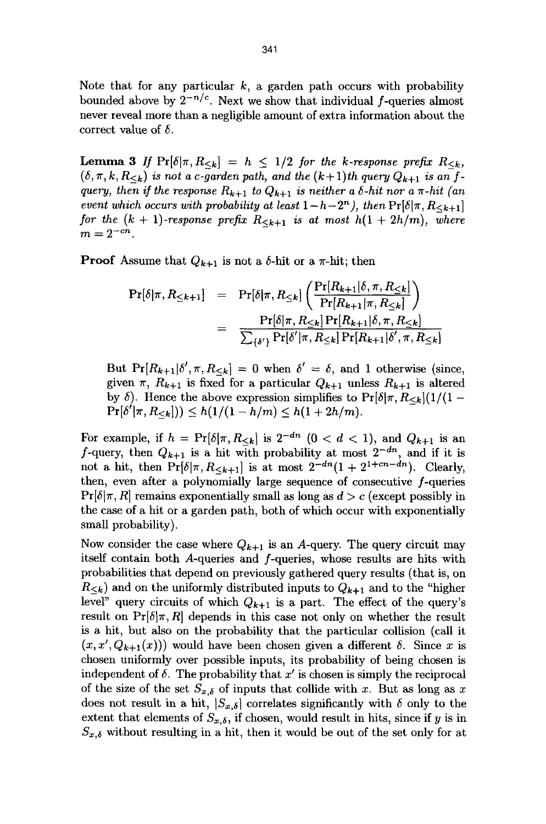Note that for any particular  $k$ , a garden path occurs with probability bounded above by  $2^{-n/c}$ . Next we show that individual f-queries almost never reveal more than a negligible amount of extra information about the correct value of  $\delta$ .

**Lemma 3** If  $Pr[\delta|\pi, R_{< k}] = h \leq 1/2$  for the k-response prefix  $R_{< k}$ ,  $(\delta, \pi, k, R_{\leq k})$  *is not a c-garden path, and the*  $(k+1)$ *th query*  $Q_{k+1}$  *is an fquery, then if the response*  $R_{k+1}$  *to*  $Q_{k+1}$  *is neither a*  $\delta$ *-hit nor a*  $\pi$ -*hit (an event which occurs with probability at least*  $1-h-2^n$ *), then*  $\Pr[\delta|\pi, R_{\leq k+1}]$ *for the*  $(k + 1)$ -response prefix  $R_{\leq k+1}$  is at most  $h(1 + 2h/m)$ , where  $m = 2^{-cn}$ .

**Proof** Assume that  $Q_{k+1}$  is not a  $\delta$ -hit or a  $\pi$ -hit; then

$$
\Pr[\delta|\pi, R_{\leq k+1}] = \Pr[\delta|\pi, R_{\leq k}] \left( \frac{\Pr[R_{k+1}|\delta, \pi, R_{\leq k}]}{\Pr[R_{k+1}|\pi, R_{\leq k}]} \right)
$$
  
= 
$$
\frac{\Pr[\delta|\pi, R_{\leq k}] \Pr[R_{k+1}|\delta, \pi, R_{\leq k}]}{\sum_{\{\delta'\}} \Pr[\delta'|\pi, R_{\leq k}] \Pr[R_{k+1}|\delta', \pi, R_{\leq k}]}
$$

But  $Pr[R_{k+1}|\delta', \pi, R_{\leq k}] = 0$  when  $\delta' = \delta$ , and 1 otherwise (since, given  $\pi$ ,  $R_{k+1}$  is fixed for a particular  $Q_{k+1}$  unless  $R_{k+1}$  is altered by  $\delta$ ). Hence the above expression simplifies to  $Pr[\delta|\pi, R_{\leq k}](1/(1 Pr[\delta'|\pi, R_{\leq k}]) \leq h(1/(1-h/m) \leq h(1+2h/m)).$ 

For example, if  $h = Pr[\delta | \pi, R_{< k}]$  is  $2^{-dn}$   $(0 < d < 1)$ , and  $Q_{k+1}$  is an f-query, then  $Q_{k+1}$  is a hit with probability at most  $2^{-dn}$ , and if it is not a hit, then  $\Pr[\delta|\pi, R_{\leq k+1}]$  is at most  $2^{-dn}(1+2^{1+cn-dn})$ . Clearly, then, even after a polynomially large sequence of consecutive f-queries  $Pr[\delta|\pi, R]$  remains exponentially small as long as  $d > c$  (except possibly in the case of a hit or a garden path, both of which occur with exponentially small probability).

Now consider the case where  $Q_{k+1}$  is an A-query. The query circuit may itself contain both A-queries and f-queries, whose results are hits with probabilities that depend on previously gathered query results (that is, on  $R_{\leq k}$ ) and on the uniformly distributed inputs to  $Q_{k+1}$  and to the "higher level" query circuits of which  $Q_{k+1}$  is a part. The effect of the query's result on  $Pr[\delta|\pi, R]$  depends in this case not only on whether the result is a hit, but also on the probability that the particular collision (call it  $(x, x', Q_{k+1}(x))$  would have been chosen given a different  $\delta$ . Since x is chosen uniformly over possible inputs, its probability of being chosen is independent of  $\delta$ . The probability that x' is chosen is simply the reciprocal of the size of the set  $S_{x,\delta}$  of inputs that collide with x. But as long as x does not result in a hit,  $|S_{x,\delta}|$  correlates significantly with  $\delta$  only to the extent that elements of  $S_{x,\delta}$ , if chosen, would result in hits, since if y is in  $S_{x,\delta}$  without resulting in a hit, then it would be out of the set only for at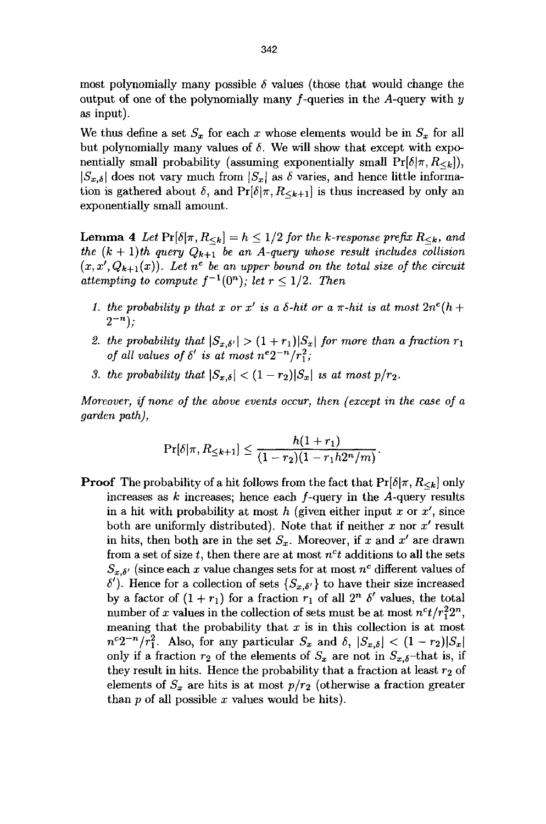most polynomially many possible  $\delta$  values (those that would change the output of one of the polynomially many  $f$ -queries in the A-query with  $y$ as input).

We thus define a set  $S_x$  for each x whose elements would be in  $S_x$  for all but polynomially many values of  $\delta$ . We will show that except with exponentially small probability (assuming exponentially small  $Pr[\delta|\pi, R_{\leq k}]$ ),  $|S_{x,\delta}|$  does not vary much from  $|S_x|$  as  $\delta$  varies, and hence little information is gathered about  $\delta$ , and  $Pr[\delta | \pi, R_{\leq k+1}]$  is thus increased by only an exponentially small amount.

**Lemma 4** Let  $Pr[\delta|\pi, R_{\leq k}] = h \leq 1/2$  for the k-response prefix  $R_{\leq k}$ , and *the*  $(k + 1)$ *th query*  $Q_{k+1}$  *be an A-query whose result includes collision*  $(x, x', Q_{k+1}(x))$ . Let  $n^e$  be an upper bound on the total size of the circuit attempting to compute  $f^{-1}(0^n)$ ; let  $r \leq 1/2$ . Then

- *1. the probability p that x or x' is a*  $\delta$ *-hit or a*  $\pi$ *-hit is at most*  $2n^e(h +$  $2^{-n}$ :
- 2. the probability that  $|S_{x,\delta'}| > (1+r_1)|S_x|$  for more than a fraction  $r_1$ *of all values of*  $\delta'$  *is at most*  $n^e 2^{-n}/r_1^2$ *;*
- *3. the probability that*  $|S_{x,\delta}| < (1 r_2)|S_x|$  *is at most p/r<sub>2</sub>.*

*Moreover, if none of the above events occur, then (except in the case of a garden path),* 

$$
\Pr[\delta|\pi, R_{\leq k+1}] \leq \frac{h(1+r_1)}{(1-r_2)(1-r_1h2^n/m)}.
$$

**Proof** The probability of a hit follows from the fact that  $Pr[\delta|\pi, R_{\leq k}]$  only increases as  $k$  increases; hence each  $f$ -query in the  $A$ -query results in a hit with probability at most  $h$  (given either input x or  $x'$ , since both are uniformly distributed). Note that if neither  $x$  nor  $x'$  result in hits, then both are in the set  $S_x$ . Moreover, if x and x' are drawn from a set of size  $t$ , then there are at most  $n<sup>c</sup>t$  additions to all the sets  $S_{x,\delta'}$  (since each x value changes sets for at most  $n^c$  different values of  $\delta'$ ). Hence for a collection of sets  $\{S_{x,\delta'}\}\)$  to have their size increased by a factor of  $(1 + r_1)$  for a fraction  $r_1$  of all  $2^n$   $\delta'$  values, the total number of x values in the collection of sets must be at most  $n^{c}t/r_1^{2}2^n$ , meaning that the probability that  $x$  is in this collection is at most  $n^{c}2^{-n}/r_1^2$ . Also, for any particular  $S_x$  and  $\delta$ ,  $|S_{x,\delta}| < (1-r_2)|S_x|$ only if a fraction  $r_2$  of the elements of  $S_x$  are not in  $S_{x,\delta}$ -that is, if they result in hits. Hence the probability that a fraction at least  $r_2$  of elements of  $S_x$  are hits is at most  $p/r_2$  (otherwise a fraction greater than  $p$  of all possible  $x$  values would be hits).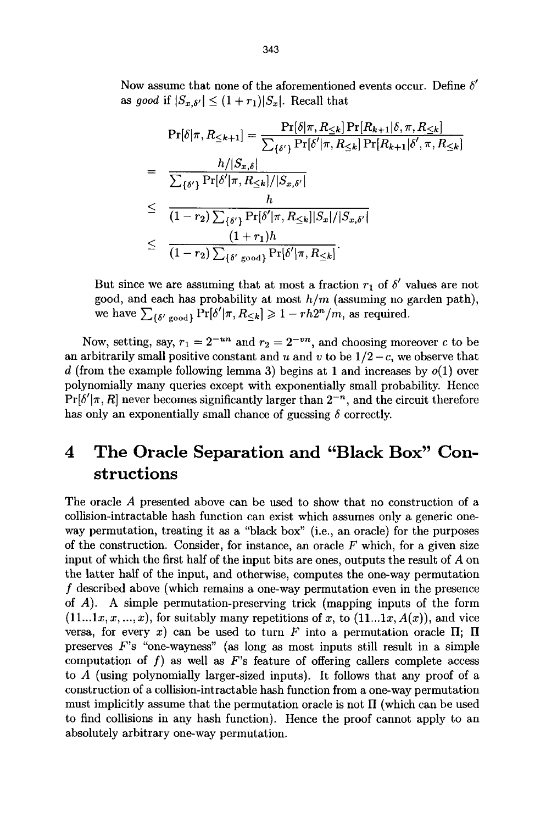Now assume that none of the aforementioned events occur. Define  $\delta'$ *as good if*  $|S_{x,\delta'}| \leq (1+r_1)|S_x|$ . Recall that

$$
\Pr[\delta|\pi, R_{\leq k+1}] = \frac{\Pr[\delta|\pi, R_{\leq k}] \Pr[R_{k+1}|\delta, \pi, R_{\leq k}]}{\sum_{\{\delta'\}} \Pr[\delta'|\pi, R_{\leq k}] \Pr[R_{k+1}|\delta', \pi, R_{\leq k}]} \n= \frac{h/|S_{x,\delta}|}{\sum_{\{\delta'\}} \Pr[\delta'|\pi, R_{\leq k}] / |S_{x,\delta'}|} \n\leq \frac{h}{(1-r_2) \sum_{\{\delta'\}} \Pr[\delta'|\pi, R_{\leq k}] |S_x| / |S_{x,\delta'}|} \n\leq \frac{(1+r_1)h}{(1-r_2) \sum_{\{\delta'\ \text{good}\}} \Pr[\delta'|\pi, R_{\leq k}]}.
$$

But since we are assuming that at most a fraction  $r_1$  of  $\delta'$  values are not good, and each has probability at most *him* (assuming no garden path), we have  $\sum_{\{\delta' \text{ good}\}} \Pr[\delta'|\pi, R_{\leq k}] \geq 1 - rh2^n/m$ , as required.

Now, setting, say,  $r_1 = 2^{-un}$  and  $r_2 = 2^{-vn}$ , and choosing moreover c to be an arbitrarily small positive constant and u and v to be  $1/2 - c$ , we observe that d (from the example following lemma 3) begins at 1 and increases by  $o(1)$  over polynomially many queries except with exponentially small probability. Hence  $Pr[\delta'|\pi, R]$  never becomes significantly larger than  $2^{-n}$ , and the circuit therefore has only an exponentially small chance of guessing  $\delta$  correctly.

# **4 The Oracle Separation and "Black Box" Constructions**

The oracle A presented above can be used to show that no construction of a collision-intractable hash function can exist which assumes only a generic oneway permutation, treating it as a "black box" (i.e., an oracle) for the purposes of the construction. Consider, for instance, an oracle  $F$  which, for a given size input of which the first half of the input bits are ones, outputs the result of A on the latter half of the input, and otherwise, computes the one-way permutation f described above (which remains a one-way permutation even in the presence of A). A simple permutation-preserving trick (mapping inputs of the form  $(11...1x, x, ..., x)$ , for suitably many repetitions of x, to  $(11...1x, A(x))$ , and vice versa, for every x) can be used to turn F into a permutation oracle  $\Pi$ ;  $\Pi$ preserves F's "one-wayness" (as long as most inputs still result in a simple computation of f) as well as  $F$ 's feature of offering callers complete access to A (using polynomially larger-sized inputs). It follows that any proof of a construction of a collision-intractable hash function from a one-way permutation must implicitly assume that the permutation oracle is not  $\Pi$  (which can be used to find collisions in any hash function). Hence the proof cannot apply to an absolutely arbitrary one-way permutation.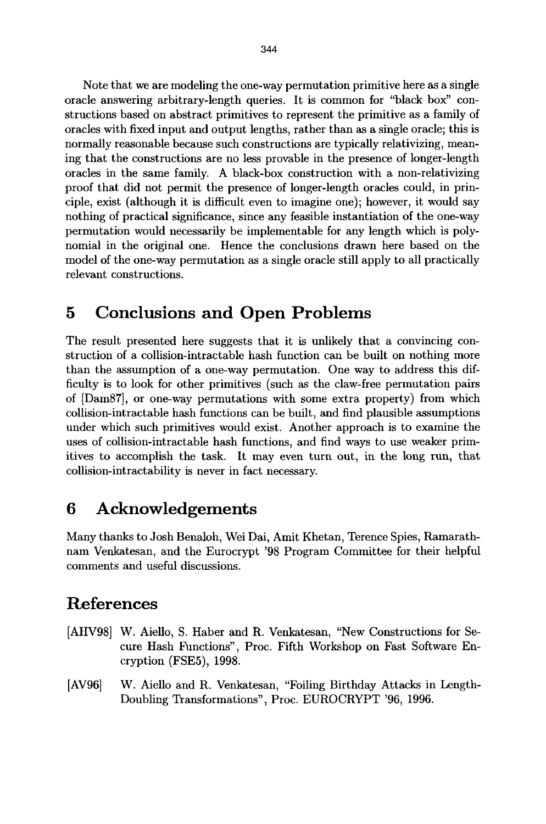Note that we are modeling the one-way permutation primitive here as a single oracle answering arbitrary-length queries. It is common for "black box" constructions based on abstract primitives to represent the primitive as a family of oracles with fixed input and output lengths, rather than as a single oracle; this is normally reasonable because such constructions are typically relativizing, meaning that the constructions are no less provable in the presence of longer-length oracles in the same family. A black-box construction with a non-relativizing proof that did not permit the presence of longer-length oracles could, in principle, exist (although it is difficult even to imagine one); however, it would say nothing of practical significance, since any feasible instantiation of the one-way permutation would necessarily be implementable for any length which is polynomial in the original one. Hence the conclusions drawn here based on the model of the one-way permutation as a single oracle still apply to all practically relevant constructions.

### **5 Conclusions and Open Problems**

The result presented here suggests that it is unlikely that a convincing construction of a collision-intractable hash function can be built on nothing more than the assumption of a one-way permutation. One way to address this difficulty is to look for other primitives (such as the claw-free permutation pairs of [Dam87], or one-way permutations with some extra property) from which collision-intractable hash functions can be built, and find plausible assumptions under which such primitives would exist. Another approach is to examine the uses of collision-intractable hash functions, and find ways to use weaker primitives to accomplish the task. It may even turn out, in the long run, that collision-intractability is never in fact necessary.

### **6 Acknowledgements**

Many thanks to Josh Benaloh, Wei Dai, Amit Khetan, Terence Spies, Ramarathnam Venkatesan, and the Eurocrypt '98 Program Committee for their helpful comments and useful discussions.

## **References**

- [AHV98] W. Aiello, S. Haber and R. Venkatesan, "New Constructions for Secure Hash Fhnctions", Proc. Fifth Workshop on Fast Software Encryption (FSE5), 1998.
- [AV96] W. Aiello and R. Venkatesan, "Foiling Birthday Attacks in Length-Doubling Transformations", Proc. EUROCRYPT '96, 1996.